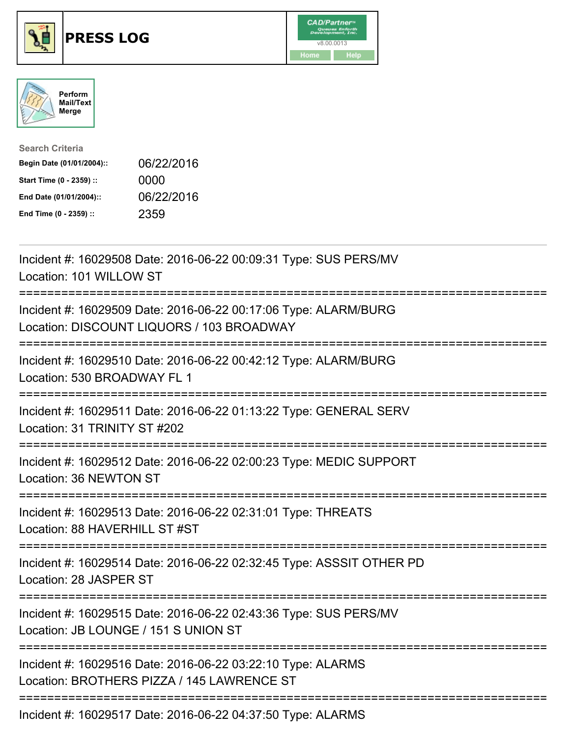

## **PRESS LOG** v8.00.0013





| <b>Search Criteria</b>    |            |
|---------------------------|------------|
| Begin Date (01/01/2004):: | 06/22/2016 |
| Start Time (0 - 2359) ::  | 0000       |
| End Date (01/01/2004)::   | 06/22/2016 |
| End Time (0 - 2359) ::    | 2359       |

Incident #: 16029508 Date: 2016-06-22 00:09:31 Type: SUS PERS/MV Location: 101 WILLOW ST =========================================================================== Incident #: 16029509 Date: 2016-06-22 00:17:06 Type: ALARM/BURG Location: DISCOUNT LIQUORS / 103 BROADWAY =========================================================================== Incident #: 16029510 Date: 2016-06-22 00:42:12 Type: ALARM/BURG Location: 530 BROADWAY FL 1 =========================================================================== Incident #: 16029511 Date: 2016-06-22 01:13:22 Type: GENERAL SERV Location: 31 TRINITY ST #202 =========================================================================== Incident #: 16029512 Date: 2016-06-22 02:00:23 Type: MEDIC SUPPORT Location: 36 NEWTON ST =========================================================================== Incident #: 16029513 Date: 2016-06-22 02:31:01 Type: THREATS Location: 88 HAVERHILL ST #ST =========================================================================== Incident #: 16029514 Date: 2016-06-22 02:32:45 Type: ASSSIT OTHER PD Location: 28 JASPER ST =========================================================================== Incident #: 16029515 Date: 2016-06-22 02:43:36 Type: SUS PERS/MV Location: JB LOUNGE / 151 S UNION ST =========================================================================== Incident #: 16029516 Date: 2016-06-22 03:22:10 Type: ALARMS Location: BROTHERS PIZZA / 145 LAWRENCE ST =========================================================================== Incident #: 16029517 Date: 2016-06-22 04:37:50 Type: ALARMS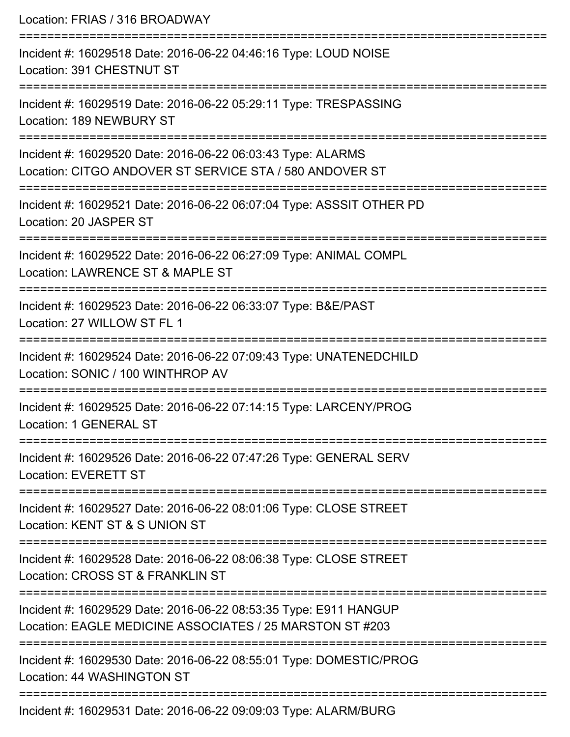| Location: FRIAS / 316 BROADWAY                                                                                                                              |
|-------------------------------------------------------------------------------------------------------------------------------------------------------------|
| ========================<br>Incident #: 16029518 Date: 2016-06-22 04:46:16 Type: LOUD NOISE<br>Location: 391 CHESTNUT ST                                    |
| Incident #: 16029519 Date: 2016-06-22 05:29:11 Type: TRESPASSING<br>Location: 189 NEWBURY ST<br>====================================                        |
| Incident #: 16029520 Date: 2016-06-22 06:03:43 Type: ALARMS<br>Location: CITGO ANDOVER ST SERVICE STA / 580 ANDOVER ST<br>:================================ |
| Incident #: 16029521 Date: 2016-06-22 06:07:04 Type: ASSSIT OTHER PD<br>Location: 20 JASPER ST                                                              |
| Incident #: 16029522 Date: 2016-06-22 06:27:09 Type: ANIMAL COMPL<br>Location: LAWRENCE ST & MAPLE ST<br>---------------------------                        |
| Incident #: 16029523 Date: 2016-06-22 06:33:07 Type: B&E/PAST<br>Location: 27 WILLOW ST FL 1                                                                |
| Incident #: 16029524 Date: 2016-06-22 07:09:43 Type: UNATENEDCHILD<br>Location: SONIC / 100 WINTHROP AV                                                     |
| Incident #: 16029525 Date: 2016-06-22 07:14:15 Type: LARCENY/PROG<br>Location: 1 GENERAL ST                                                                 |
| Incident #: 16029526 Date: 2016-06-22 07:47:26 Type: GENERAL SERV<br><b>Location: EVERETT ST</b>                                                            |
| Incident #: 16029527 Date: 2016-06-22 08:01:06 Type: CLOSE STREET<br>Location: KENT ST & S UNION ST                                                         |
| Incident #: 16029528 Date: 2016-06-22 08:06:38 Type: CLOSE STREET<br>Location: CROSS ST & FRANKLIN ST                                                       |
| Incident #: 16029529 Date: 2016-06-22 08:53:35 Type: E911 HANGUP<br>Location: EAGLE MEDICINE ASSOCIATES / 25 MARSTON ST #203                                |
| Incident #: 16029530 Date: 2016-06-22 08:55:01 Type: DOMESTIC/PROG<br>Location: 44 WASHINGTON ST                                                            |
| $Jnoid$ the $16020521$ Deta: $2016$ $06.22$ $00.0002$ Type: ALADMDLIDC                                                                                      |

Incident #: 16029531 Date: 2016-06-22 09:09:03 Type: ALARM/BURG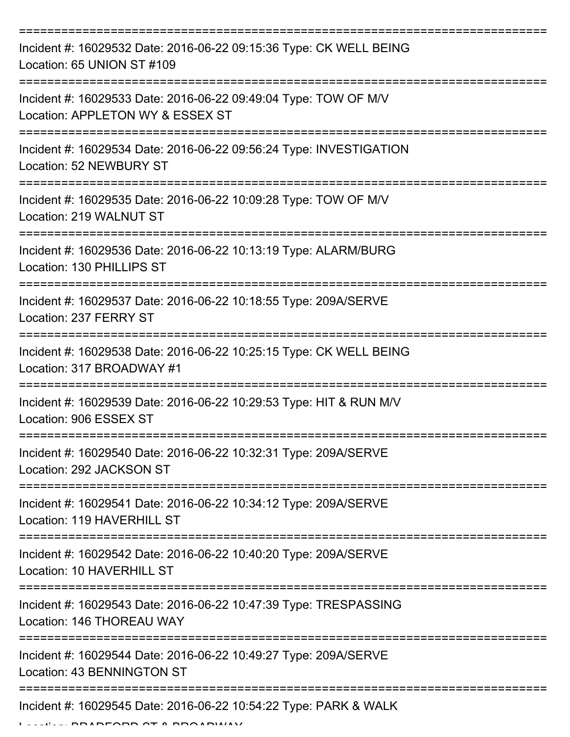| Incident #: 16029532 Date: 2016-06-22 09:15:36 Type: CK WELL BEING<br>Location: 65 UNION ST #109                                   |
|------------------------------------------------------------------------------------------------------------------------------------|
| Incident #: 16029533 Date: 2016-06-22 09:49:04 Type: TOW OF M/V<br>Location: APPLETON WY & ESSEX ST                                |
| Incident #: 16029534 Date: 2016-06-22 09:56:24 Type: INVESTIGATION<br>Location: 52 NEWBURY ST                                      |
| Incident #: 16029535 Date: 2016-06-22 10:09:28 Type: TOW OF M/V<br>Location: 219 WALNUT ST                                         |
| Incident #: 16029536 Date: 2016-06-22 10:13:19 Type: ALARM/BURG<br>Location: 130 PHILLIPS ST<br>================================== |
| Incident #: 16029537 Date: 2016-06-22 10:18:55 Type: 209A/SERVE<br>Location: 237 FERRY ST                                          |
| Incident #: 16029538 Date: 2016-06-22 10:25:15 Type: CK WELL BEING<br>Location: 317 BROADWAY #1                                    |
| Incident #: 16029539 Date: 2016-06-22 10:29:53 Type: HIT & RUN M/V<br>Location: 906 ESSEX ST                                       |
| Incident #: 16029540 Date: 2016-06-22 10:32:31 Type: 209A/SERVE<br>Location: 292 JACKSON ST                                        |
| Incident #: 16029541 Date: 2016-06-22 10:34:12 Type: 209A/SERVE<br>Location: 119 HAVERHILL ST                                      |
| Incident #: 16029542 Date: 2016-06-22 10:40:20 Type: 209A/SERVE<br>Location: 10 HAVERHILL ST                                       |
| Incident #: 16029543 Date: 2016-06-22 10:47:39 Type: TRESPASSING<br>Location: 146 THOREAU WAY                                      |
| Incident #: 16029544 Date: 2016-06-22 10:49:27 Type: 209A/SERVE<br>Location: 43 BENNINGTON ST                                      |
| Incident #: 16029545 Date: 2016-06-22 10:54:22 Type: PARK & WALK                                                                   |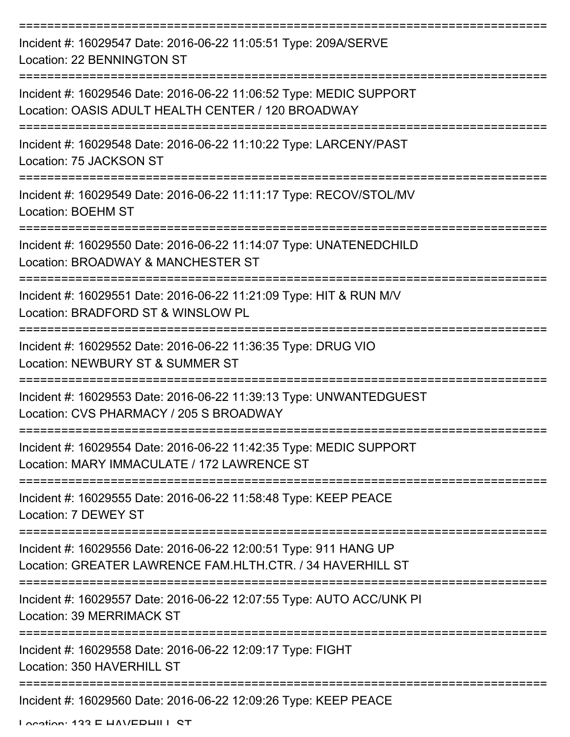| Incident #: 16029547 Date: 2016-06-22 11:05:51 Type: 209A/SERVE<br>Location: 22 BENNINGTON ST                                        |
|--------------------------------------------------------------------------------------------------------------------------------------|
| Incident #: 16029546 Date: 2016-06-22 11:06:52 Type: MEDIC SUPPORT<br>Location: OASIS ADULT HEALTH CENTER / 120 BROADWAY             |
| Incident #: 16029548 Date: 2016-06-22 11:10:22 Type: LARCENY/PAST<br>Location: 75 JACKSON ST                                         |
| Incident #: 16029549 Date: 2016-06-22 11:11:17 Type: RECOV/STOL/MV<br><b>Location: BOEHM ST</b>                                      |
| Incident #: 16029550 Date: 2016-06-22 11:14:07 Type: UNATENEDCHILD<br>Location: BROADWAY & MANCHESTER ST<br>:======================= |
| Incident #: 16029551 Date: 2016-06-22 11:21:09 Type: HIT & RUN M/V<br>Location: BRADFORD ST & WINSLOW PL                             |
| Incident #: 16029552 Date: 2016-06-22 11:36:35 Type: DRUG VIO<br>Location: NEWBURY ST & SUMMER ST                                    |
| Incident #: 16029553 Date: 2016-06-22 11:39:13 Type: UNWANTEDGUEST<br>Location: CVS PHARMACY / 205 S BROADWAY                        |
| Incident #: 16029554 Date: 2016-06-22 11:42:35 Type: MEDIC SUPPORT<br>Location: MARY IMMACULATE / 172 LAWRENCE ST                    |
| Incident #: 16029555 Date: 2016-06-22 11:58:48 Type: KEEP PEACE<br>Location: 7 DEWEY ST<br>--------------------------                |
| Incident #: 16029556 Date: 2016-06-22 12:00:51 Type: 911 HANG UP<br>Location: GREATER LAWRENCE FAM.HLTH.CTR. / 34 HAVERHILL ST       |
| Incident #: 16029557 Date: 2016-06-22 12:07:55 Type: AUTO ACC/UNK PI<br><b>Location: 39 MERRIMACK ST</b>                             |
| Incident #: 16029558 Date: 2016-06-22 12:09:17 Type: FIGHT<br>Location: 350 HAVERHILL ST                                             |
| Incident #: 16029560 Date: 2016-06-22 12:09:26 Type: KEEP PEACE                                                                      |

Location: 133 E HAVEDHILL CT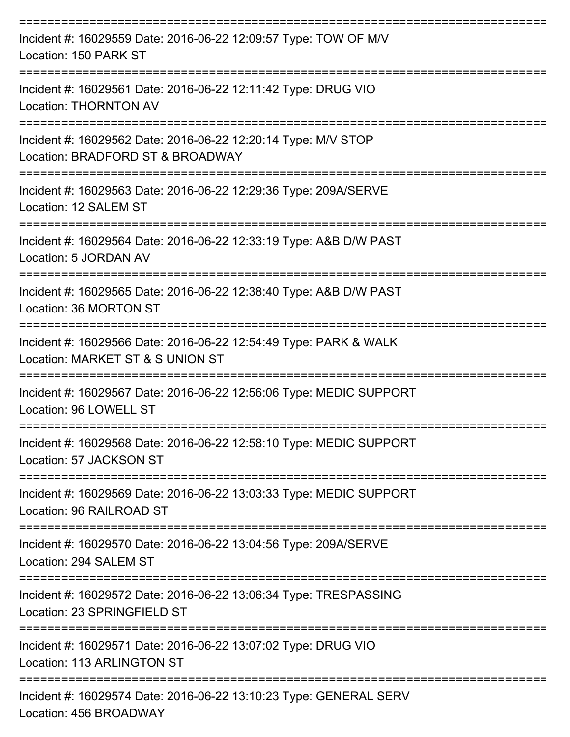| Incident #: 16029559 Date: 2016-06-22 12:09:57 Type: TOW OF M/V<br>Location: 150 PARK ST             |
|------------------------------------------------------------------------------------------------------|
| Incident #: 16029561 Date: 2016-06-22 12:11:42 Type: DRUG VIO<br><b>Location: THORNTON AV</b>        |
| Incident #: 16029562 Date: 2016-06-22 12:20:14 Type: M/V STOP<br>Location: BRADFORD ST & BROADWAY    |
| Incident #: 16029563 Date: 2016-06-22 12:29:36 Type: 209A/SERVE<br>Location: 12 SALEM ST             |
| Incident #: 16029564 Date: 2016-06-22 12:33:19 Type: A&B D/W PAST<br>Location: 5 JORDAN AV           |
| Incident #: 16029565 Date: 2016-06-22 12:38:40 Type: A&B D/W PAST<br>Location: 36 MORTON ST          |
| Incident #: 16029566 Date: 2016-06-22 12:54:49 Type: PARK & WALK<br>Location: MARKET ST & S UNION ST |
| Incident #: 16029567 Date: 2016-06-22 12:56:06 Type: MEDIC SUPPORT<br>Location: 96 LOWELL ST         |
| Incident #: 16029568 Date: 2016-06-22 12:58:10 Type: MEDIC SUPPORT<br>Location: 57 JACKSON ST        |
| Incident #: 16029569 Date: 2016-06-22 13:03:33 Type: MEDIC SUPPORT<br>Location: 96 RAILROAD ST       |
| Incident #: 16029570 Date: 2016-06-22 13:04:56 Type: 209A/SERVE<br>Location: 294 SALEM ST            |
| Incident #: 16029572 Date: 2016-06-22 13:06:34 Type: TRESPASSING<br>Location: 23 SPRINGFIELD ST      |
| Incident #: 16029571 Date: 2016-06-22 13:07:02 Type: DRUG VIO<br><b>Location: 113 ARLINGTON ST</b>   |
| Incident #: 16029574 Date: 2016-06-22 13:10:23 Type: GENERAL SERV<br>Location: 456 BROADWAY          |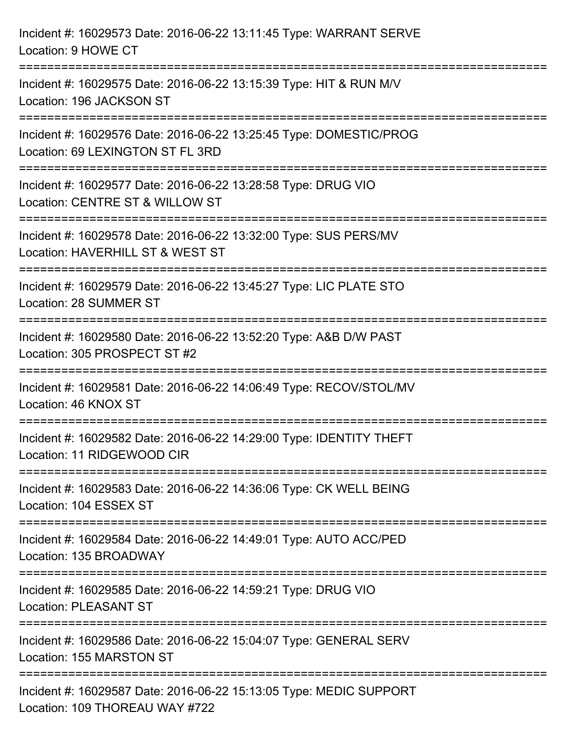| Incident #: 16029573 Date: 2016-06-22 13:11:45 Type: WARRANT SERVE<br>Location: 9 HOWE CT              |
|--------------------------------------------------------------------------------------------------------|
| Incident #: 16029575 Date: 2016-06-22 13:15:39 Type: HIT & RUN M/V<br>Location: 196 JACKSON ST         |
| Incident #: 16029576 Date: 2016-06-22 13:25:45 Type: DOMESTIC/PROG<br>Location: 69 LEXINGTON ST FL 3RD |
| Incident #: 16029577 Date: 2016-06-22 13:28:58 Type: DRUG VIO<br>Location: CENTRE ST & WILLOW ST       |
| Incident #: 16029578 Date: 2016-06-22 13:32:00 Type: SUS PERS/MV<br>Location: HAVERHILL ST & WEST ST   |
| Incident #: 16029579 Date: 2016-06-22 13:45:27 Type: LIC PLATE STO<br>Location: 28 SUMMER ST           |
| Incident #: 16029580 Date: 2016-06-22 13:52:20 Type: A&B D/W PAST<br>Location: 305 PROSPECT ST #2      |
| Incident #: 16029581 Date: 2016-06-22 14:06:49 Type: RECOV/STOL/MV<br>Location: 46 KNOX ST             |
| Incident #: 16029582 Date: 2016-06-22 14:29:00 Type: IDENTITY THEFT<br>Location: 11 RIDGEWOOD CIR      |
| Incident #: 16029583 Date: 2016-06-22 14:36:06 Type: CK WELL BEING<br>Location: 104 ESSEX ST           |
| Incident #: 16029584 Date: 2016-06-22 14:49:01 Type: AUTO ACC/PED<br>Location: 135 BROADWAY            |
| Incident #: 16029585 Date: 2016-06-22 14:59:21 Type: DRUG VIO<br><b>Location: PLEASANT ST</b>          |
| Incident #: 16029586 Date: 2016-06-22 15:04:07 Type: GENERAL SERV<br>Location: 155 MARSTON ST          |
| Incident #: 16029587 Date: 2016-06-22 15:13:05 Type: MEDIC SUPPORT<br>Location: 109 THOREAU WAY #722   |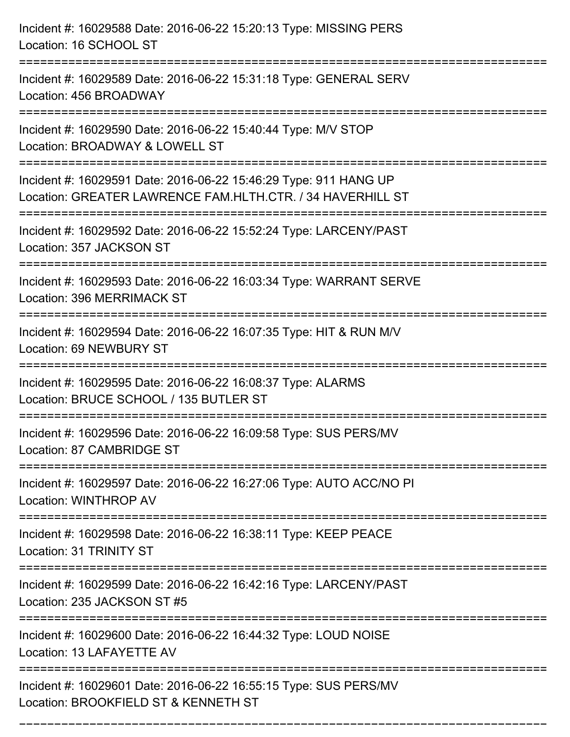| Incident #: 16029588 Date: 2016-06-22 15:20:13 Type: MISSING PERS<br>Location: 16 SCHOOL ST                                         |
|-------------------------------------------------------------------------------------------------------------------------------------|
| Incident #: 16029589 Date: 2016-06-22 15:31:18 Type: GENERAL SERV<br>Location: 456 BROADWAY<br>==================================== |
| Incident #: 16029590 Date: 2016-06-22 15:40:44 Type: M/V STOP<br>Location: BROADWAY & LOWELL ST                                     |
| Incident #: 16029591 Date: 2016-06-22 15:46:29 Type: 911 HANG UP<br>Location: GREATER LAWRENCE FAM.HLTH.CTR. / 34 HAVERHILL ST      |
| Incident #: 16029592 Date: 2016-06-22 15:52:24 Type: LARCENY/PAST<br>Location: 357 JACKSON ST                                       |
| Incident #: 16029593 Date: 2016-06-22 16:03:34 Type: WARRANT SERVE<br>Location: 396 MERRIMACK ST                                    |
| Incident #: 16029594 Date: 2016-06-22 16:07:35 Type: HIT & RUN M/V<br>Location: 69 NEWBURY ST                                       |
| Incident #: 16029595 Date: 2016-06-22 16:08:37 Type: ALARMS<br>Location: BRUCE SCHOOL / 135 BUTLER ST                               |
| Incident #: 16029596 Date: 2016-06-22 16:09:58 Type: SUS PERS/MV<br>Location: 87 CAMBRIDGE ST                                       |
| Incident #: 16029597 Date: 2016-06-22 16:27:06 Type: AUTO ACC/NO PI<br>Location: WINTHROP AV                                        |
| Incident #: 16029598 Date: 2016-06-22 16:38:11 Type: KEEP PEACE<br>Location: 31 TRINITY ST                                          |
| Incident #: 16029599 Date: 2016-06-22 16:42:16 Type: LARCENY/PAST<br>Location: 235 JACKSON ST #5                                    |
| Incident #: 16029600 Date: 2016-06-22 16:44:32 Type: LOUD NOISE<br>Location: 13 LAFAYETTE AV                                        |
| Incident #: 16029601 Date: 2016-06-22 16:55:15 Type: SUS PERS/MV<br>Location: BROOKFIELD ST & KENNETH ST                            |

===========================================================================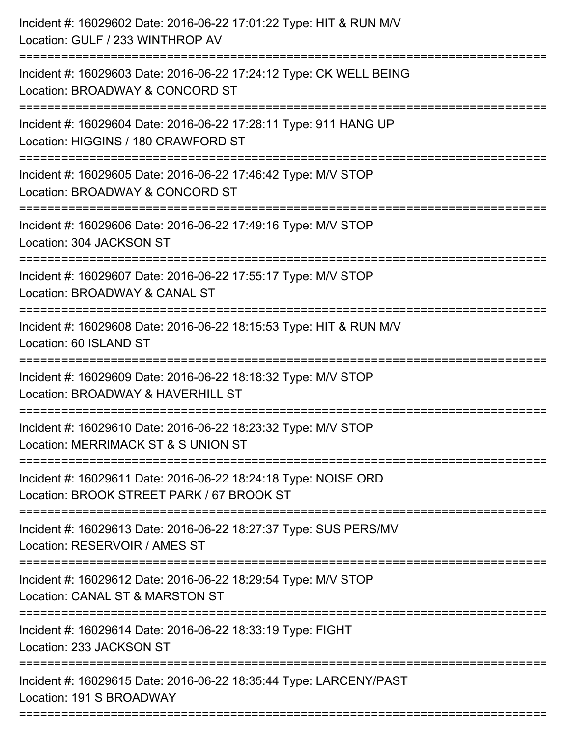| Incident #: 16029603 Date: 2016-06-22 17:24:12 Type: CK WELL BEING<br>Location: BROADWAY & CONCORD ST                                |
|--------------------------------------------------------------------------------------------------------------------------------------|
| Incident #: 16029604 Date: 2016-06-22 17:28:11 Type: 911 HANG UP<br>Location: HIGGINS / 180 CRAWFORD ST<br>:======================== |
| Incident #: 16029605 Date: 2016-06-22 17:46:42 Type: M/V STOP<br>Location: BROADWAY & CONCORD ST                                     |
| Incident #: 16029606 Date: 2016-06-22 17:49:16 Type: M/V STOP<br>Location: 304 JACKSON ST                                            |
| Incident #: 16029607 Date: 2016-06-22 17:55:17 Type: M/V STOP<br>Location: BROADWAY & CANAL ST                                       |
| Incident #: 16029608 Date: 2016-06-22 18:15:53 Type: HIT & RUN M/V<br>Location: 60 ISLAND ST                                         |
| Incident #: 16029609 Date: 2016-06-22 18:18:32 Type: M/V STOP<br>Location: BROADWAY & HAVERHILL ST                                   |
| Incident #: 16029610 Date: 2016-06-22 18:23:32 Type: M/V STOP<br>Location: MERRIMACK ST & S UNION ST                                 |
| Incident #: 16029611 Date: 2016-06-22 18:24:18 Type: NOISE ORD<br>Location: BROOK STREET PARK / 67 BROOK ST                          |
| Incident #: 16029613 Date: 2016-06-22 18:27:37 Type: SUS PERS/MV<br>Location: RESERVOIR / AMES ST                                    |
| Incident #: 16029612 Date: 2016-06-22 18:29:54 Type: M/V STOP<br>Location: CANAL ST & MARSTON ST                                     |
| Incident #: 16029614 Date: 2016-06-22 18:33:19 Type: FIGHT<br>Location: 233 JACKSON ST                                               |
| Incident #: 16029615 Date: 2016-06-22 18:35:44 Type: LARCENY/PAST<br>Location: 191 S BROADWAY                                        |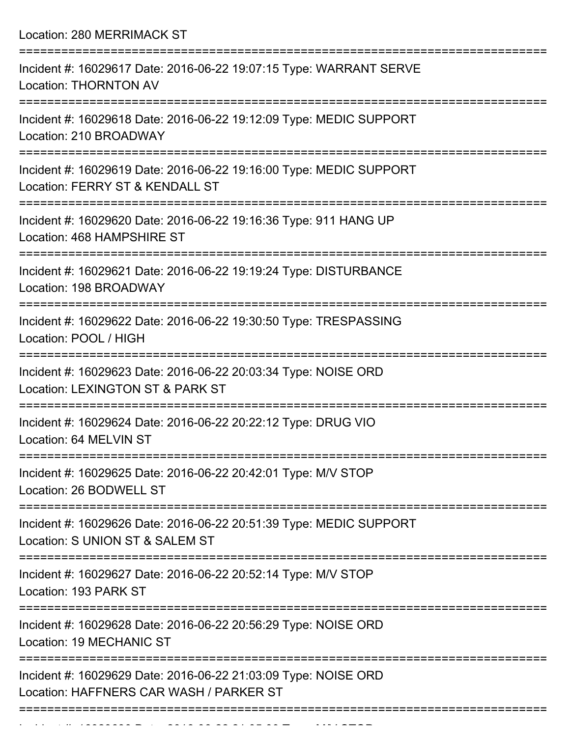Location: 280 MERRIMACK ST

| Incident #: 16029617 Date: 2016-06-22 19:07:15 Type: WARRANT SERVE<br><b>Location: THORNTON AV</b>        |
|-----------------------------------------------------------------------------------------------------------|
| Incident #: 16029618 Date: 2016-06-22 19:12:09 Type: MEDIC SUPPORT<br>Location: 210 BROADWAY              |
| Incident #: 16029619 Date: 2016-06-22 19:16:00 Type: MEDIC SUPPORT<br>Location: FERRY ST & KENDALL ST     |
| Incident #: 16029620 Date: 2016-06-22 19:16:36 Type: 911 HANG UP<br>Location: 468 HAMPSHIRE ST            |
| Incident #: 16029621 Date: 2016-06-22 19:19:24 Type: DISTURBANCE<br>Location: 198 BROADWAY                |
| Incident #: 16029622 Date: 2016-06-22 19:30:50 Type: TRESPASSING<br>Location: POOL / HIGH                 |
| Incident #: 16029623 Date: 2016-06-22 20:03:34 Type: NOISE ORD<br>Location: LEXINGTON ST & PARK ST        |
| Incident #: 16029624 Date: 2016-06-22 20:22:12 Type: DRUG VIO<br>Location: 64 MELVIN ST                   |
| Incident #: 16029625 Date: 2016-06-22 20:42:01 Type: M/V STOP<br>Location: 26 BODWELL ST                  |
| Incident #: 16029626 Date: 2016-06-22 20:51:39 Type: MEDIC SUPPORT<br>Location: S UNION ST & SALEM ST     |
| Incident #: 16029627 Date: 2016-06-22 20:52:14 Type: M/V STOP<br>Location: 193 PARK ST                    |
| Incident #: 16029628 Date: 2016-06-22 20:56:29 Type: NOISE ORD<br>Location: 19 MECHANIC ST                |
| Incident #: 16029629 Date: 2016-06-22 21:03:09 Type: NOISE ORD<br>Location: HAFFNERS CAR WASH / PARKER ST |
|                                                                                                           |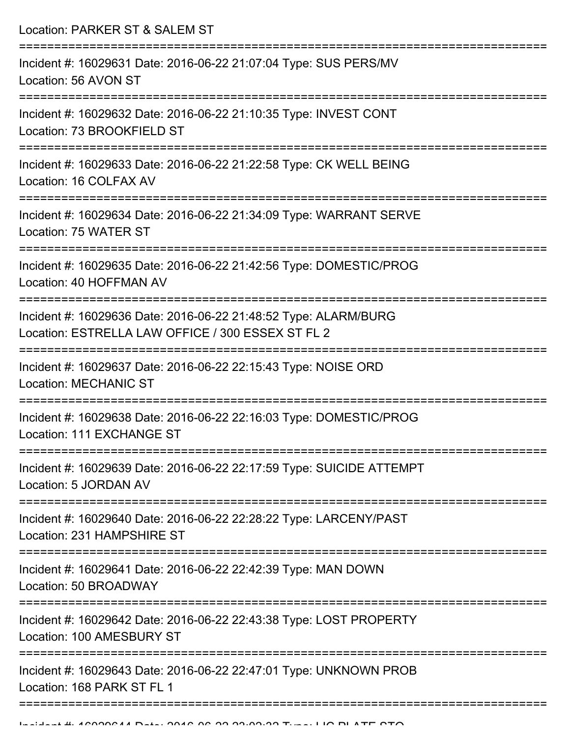| Location: PARKER ST & SALEM ST                                                                                                               |
|----------------------------------------------------------------------------------------------------------------------------------------------|
| Incident #: 16029631 Date: 2016-06-22 21:07:04 Type: SUS PERS/MV<br>Location: 56 AVON ST                                                     |
| Incident #: 16029632 Date: 2016-06-22 21:10:35 Type: INVEST CONT<br>Location: 73 BROOKFIELD ST                                               |
| Incident #: 16029633 Date: 2016-06-22 21:22:58 Type: CK WELL BEING<br>Location: 16 COLFAX AV                                                 |
| Incident #: 16029634 Date: 2016-06-22 21:34:09 Type: WARRANT SERVE<br>Location: 75 WATER ST                                                  |
| Incident #: 16029635 Date: 2016-06-22 21:42:56 Type: DOMESTIC/PROG<br>Location: 40 HOFFMAN AV                                                |
| Incident #: 16029636 Date: 2016-06-22 21:48:52 Type: ALARM/BURG<br>Location: ESTRELLA LAW OFFICE / 300 ESSEX ST FL 2<br>==================== |
| Incident #: 16029637 Date: 2016-06-22 22:15:43 Type: NOISE ORD<br><b>Location: MECHANIC ST</b>                                               |
| Incident #: 16029638 Date: 2016-06-22 22:16:03 Type: DOMESTIC/PROG<br>Location: 111 EXCHANGE ST                                              |
| Incident #: 16029639 Date: 2016-06-22 22:17:59 Type: SUICIDE ATTEMPT<br>Location: 5 JORDAN AV                                                |
| Incident #: 16029640 Date: 2016-06-22 22:28:22 Type: LARCENY/PAST<br>Location: 231 HAMPSHIRE ST                                              |
| Incident #: 16029641 Date: 2016-06-22 22:42:39 Type: MAN DOWN<br>Location: 50 BROADWAY                                                       |
| Incident #: 16029642 Date: 2016-06-22 22:43:38 Type: LOST PROPERTY<br>Location: 100 AMESBURY ST                                              |
| Incident #: 16029643 Date: 2016-06-22 22:47:01 Type: UNKNOWN PROB<br>Location: 168 PARK ST FL 1                                              |